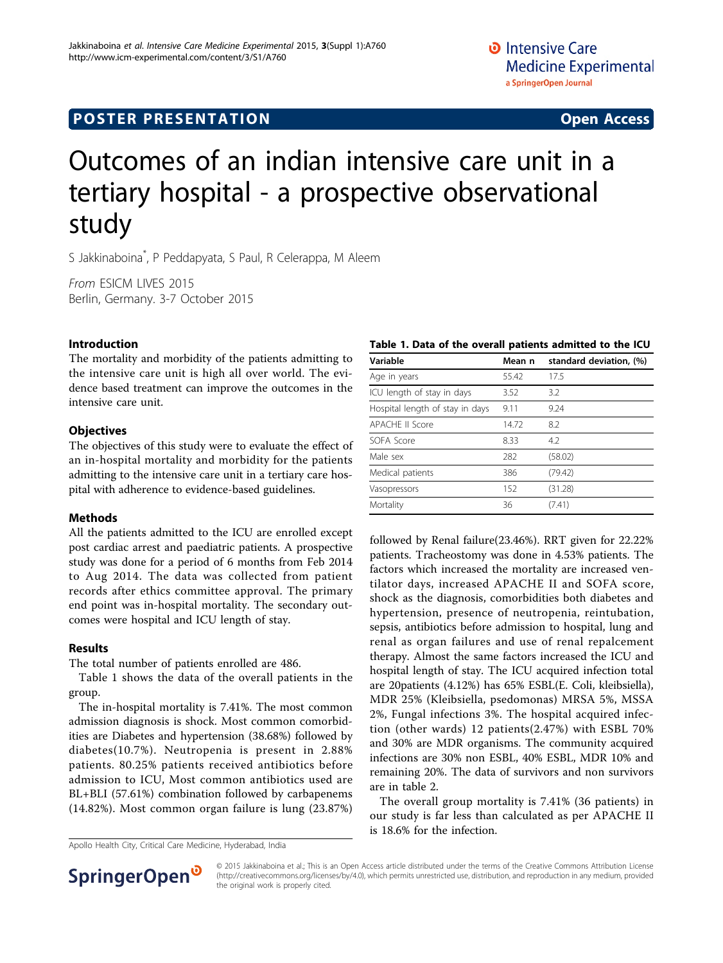## **POSTER PRESENTATION CONSUMING THE SERVICE SERVICE SERVICES**

# Outcomes of an indian intensive care unit in a tertiary hospital - a prospective observational study

S Jakkinaboina\* , P Peddapyata, S Paul, R Celerappa, M Aleem

From ESICM LIVES 2015 Berlin, Germany. 3-7 October 2015

#### Introduction

The mortality and morbidity of the patients admitting to the intensive care unit is high all over world. The evidence based treatment can improve the outcomes in the intensive care unit.

#### **Objectives**

The objectives of this study were to evaluate the effect of an in-hospital mortality and morbidity for the patients admitting to the intensive care unit in a tertiary care hospital with adherence to evidence-based guidelines.

#### **Methods**

All the patients admitted to the ICU are enrolled except post cardiac arrest and paediatric patients. A prospective study was done for a period of 6 months from Feb 2014 to Aug 2014. The data was collected from patient records after ethics committee approval. The primary end point was in-hospital mortality. The secondary outcomes were hospital and ICU length of stay.

#### Results

The total number of patients enrolled are 486.

Table 1 shows the data of the overall patients in the group.

The in-hospital mortality is 7.41%. The most common admission diagnosis is shock. Most common comorbidities are Diabetes and hypertension (38.68%) followed by diabetes(10.7%). Neutropenia is present in 2.88% patients. 80.25% patients received antibiotics before admission to ICU, Most common antibiotics used are BL+BLI (57.61%) combination followed by carbapenems (14.82%). Most common organ failure is lung (23.87%)

Apollo Health City, Critical Care Medicine, Hyderabad, India

### Table 1. Data of the overall patients admitted to the ICU

| Variable                        | Mean n | standard deviation, (%) |
|---------------------------------|--------|-------------------------|
| Age in years                    | 55.42  | 17.5                    |
| ICU length of stay in days      | 3.52   | 3.2                     |
| Hospital length of stay in days | 9.11   | 9.24                    |
| <b>APACHE II Score</b>          | 14.72  | 8.2                     |
| SOFA Score                      | 8.33   | 4.2                     |
| Male sex                        | 282    | (58.02)                 |
| Medical patients                | 386    | (79.42)                 |
| Vasopressors                    | 152    | (31.28)                 |
| Mortality                       | 36     | (7.41)                  |

followed by Renal failure(23.46%). RRT given for 22.22% patients. Tracheostomy was done in 4.53% patients. The factors which increased the mortality are increased ventilator days, increased APACHE II and SOFA score, shock as the diagnosis, comorbidities both diabetes and hypertension, presence of neutropenia, reintubation, sepsis, antibiotics before admission to hospital, lung and renal as organ failures and use of renal repalcement therapy. Almost the same factors increased the ICU and hospital length of stay. The ICU acquired infection total are 20patients (4.12%) has 65% ESBL(E. Coli, kleibsiella), MDR 25% (Kleibsiella, psedomonas) MRSA 5%, MSSA 2%, Fungal infections 3%. The hospital acquired infection (other wards) 12 patients(2.47%) with ESBL 70% and 30% are MDR organisms. The community acquired infections are 30% non ESBL, 40% ESBL, MDR 10% and remaining 20%. The data of survivors and non survivors are in table [2](#page-1-0).

The overall group mortality is 7.41% (36 patients) in our study is far less than calculated as per APACHE II is 18.6% for the infection.



© 2015 Jakkinaboina et al.; This is an Open Access article distributed under the terms of the Creative Commons Attribution License [\(http://creativecommons.org/licenses/by/4.0](http://creativecommons.org/licenses/by/4.0)), which permits unrestricted use, distribution, and reproduction in any medium, provided the original work is properly cited.